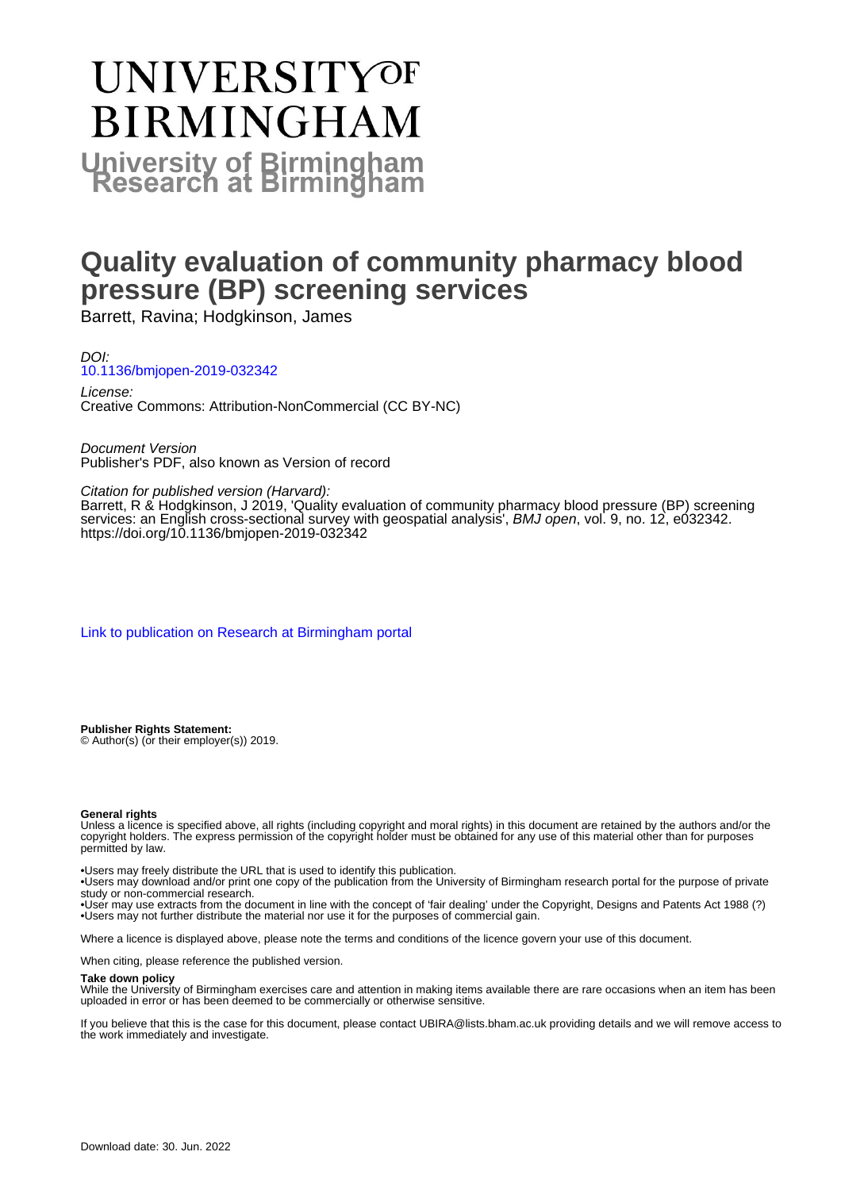# **UNIVERSITYOF BIRMINGHAM University of Birmingham**

# **Quality evaluation of community pharmacy blood pressure (BP) screening services**

Barrett, Ravina; Hodgkinson, James

DOI: [10.1136/bmjopen-2019-032342](https://doi.org/10.1136/bmjopen-2019-032342)

License: Creative Commons: Attribution-NonCommercial (CC BY-NC)

Document Version Publisher's PDF, also known as Version of record

# Citation for published version (Harvard):

Barrett, R & Hodgkinson, J 2019, 'Quality evaluation of community pharmacy blood pressure (BP) screening services: an English cross-sectional survey with geospatial analysis', *BMJ open*, vol. 9, no. 12, e032342. <https://doi.org/10.1136/bmjopen-2019-032342>

[Link to publication on Research at Birmingham portal](https://birmingham.elsevierpure.com/en/publications/fcd2a27a-151f-410a-8d3d-165e4fae5057)

**Publisher Rights Statement:** © Author(s) (or their employer(s)) 2019.

#### **General rights**

Unless a licence is specified above, all rights (including copyright and moral rights) in this document are retained by the authors and/or the copyright holders. The express permission of the copyright holder must be obtained for any use of this material other than for purposes permitted by law.

• Users may freely distribute the URL that is used to identify this publication.

• Users may download and/or print one copy of the publication from the University of Birmingham research portal for the purpose of private study or non-commercial research.

• User may use extracts from the document in line with the concept of 'fair dealing' under the Copyright, Designs and Patents Act 1988 (?) • Users may not further distribute the material nor use it for the purposes of commercial gain.

Where a licence is displayed above, please note the terms and conditions of the licence govern your use of this document.

When citing, please reference the published version.

#### **Take down policy**

While the University of Birmingham exercises care and attention in making items available there are rare occasions when an item has been uploaded in error or has been deemed to be commercially or otherwise sensitive.

If you believe that this is the case for this document, please contact UBIRA@lists.bham.ac.uk providing details and we will remove access to the work immediately and investigate.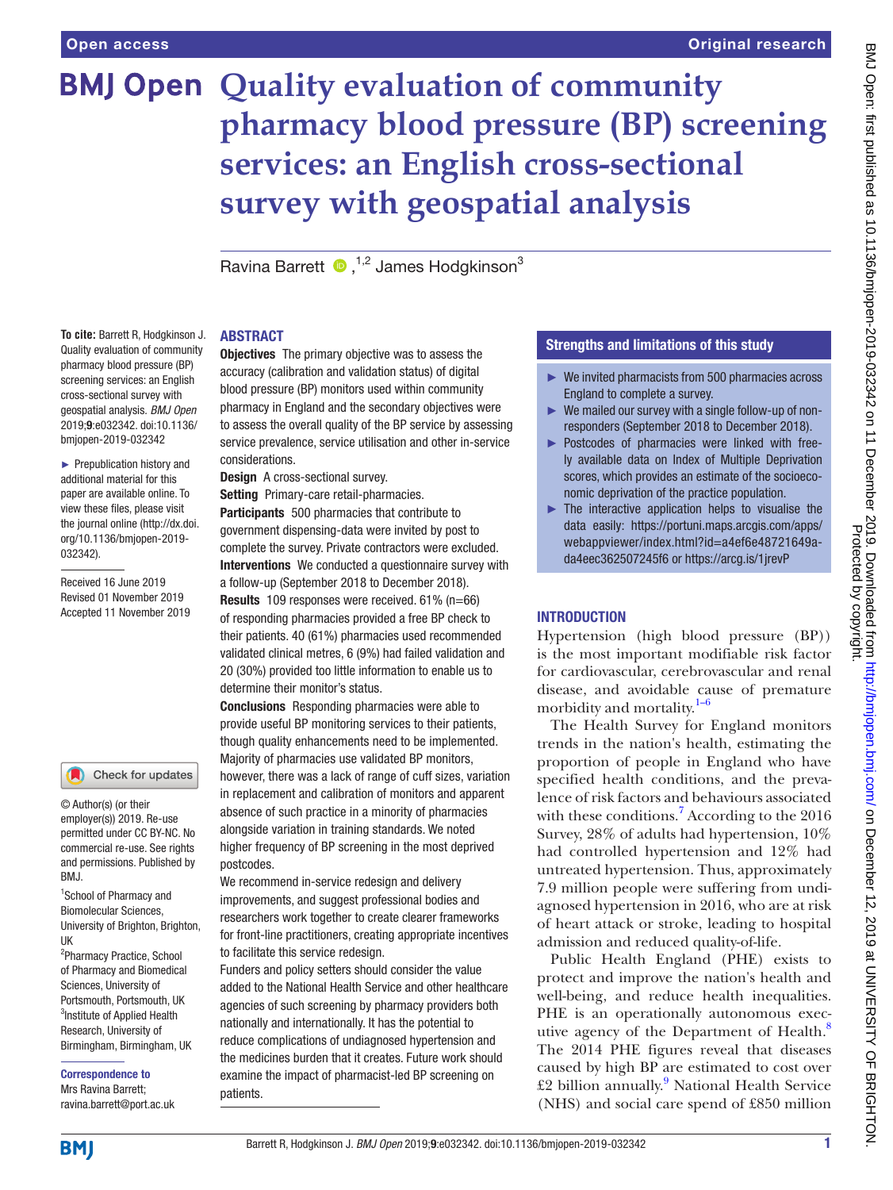**To cite:** Barrett R, Hodgkinson J.

pharmacy blood pressure (BP) screening services: an English cross-sectional survey with geospatial analysis. *BMJ Open* 2019;9:e032342. doi:10.1136/ bmjopen-2019-032342 ► Prepublication history and additional material for this paper are available online. To view these files, please visit the journal online (http://dx.doi. org/10.1136/bmjopen-2019-

032342).

Received 16 June 2019 Revised 01 November 2019 Accepted 11 November 2019

# **BMJ Open Quality evaluation of community pharmacy blood pressure (BP) screening services: an English cross-sectional survey with geospatial analysis**

Ravina Barrett  $\bullet$  .<sup>1,2</sup> James Hodgkinson<sup>3</sup>

# **ABSTRACT**

Quality evaluation of community Objectives The primary objective was to assess the accuracy (calibration and validation status) of digital blood pressure (BP) monitors used within community pharmacy in England and the secondary objectives were to assess the overall quality of the BP service by assessing service prevalence, service utilisation and other in-service considerations.

Design A cross-sectional survey.

Setting Primary-care retail-pharmacies.

Participants 500 pharmacies that contribute to government dispensing-data were invited by post to complete the survey. Private contractors were excluded. Interventions We conducted a questionnaire survey with a follow-up (September 2018 to December 2018).

Results 109 responses were received. 61% (n=66) of responding pharmacies provided a free BP check to their patients. 40 (61%) pharmacies used recommended validated clinical metres, 6 (9%) had failed validation and 20 (30%) provided too little information to enable us to determine their monitor's status.

Conclusions Responding pharmacies were able to provide useful BP monitoring services to their patients, though quality enhancements need to be implemented. Majority of pharmacies use validated BP monitors, however, there was a lack of range of cuff sizes, variation in replacement and calibration of monitors and apparent absence of such practice in a minority of pharmacies alongside variation in training standards. We noted higher frequency of BP screening in the most deprived postcodes.

We recommend in-service redesign and delivery improvements, and suggest professional bodies and researchers work together to create clearer frameworks for front-line practitioners, creating appropriate incentives to facilitate this service redesign.

Funders and policy setters should consider the value added to the National Health Service and other healthcare agencies of such screening by pharmacy providers both nationally and internationally. It has the potential to reduce complications of undiagnosed hypertension and the medicines burden that it creates. Future work should examine the impact of pharmacist-led BP screening on patients.

# Strengths and limitations of this study

- ► We invited pharmacists from 500 pharmacies across England to complete a survey.
- ► We mailed our survey with a single follow-up of nonresponders (September 2018 to December 2018).
- ► Postcodes of pharmacies were linked with freely available data on Index of Multiple Deprivation scores, which provides an estimate of the socioeconomic deprivation of the practice population.
- ► The interactive application helps to visualise the data easily: [https://portuni.maps.arcgis.com/apps/](https://portuni.maps.arcgis.com/apps/webappviewer/index.html?id=a4ef6e48721649ada4eec362507245f6) [webappviewer/index.html?id=a4ef6e48721649a](https://portuni.maps.arcgis.com/apps/webappviewer/index.html?id=a4ef6e48721649ada4eec362507245f6)[da4eec362507245f6](https://portuni.maps.arcgis.com/apps/webappviewer/index.html?id=a4ef6e48721649ada4eec362507245f6) or [https://arcg.is/1jrevP](https://arcg.is/1jrevP.)

# **INTRODUCTION**

Hypertension (high blood pressure (BP)) is the most important modifiable risk factor for cardiovascular, cerebrovascular and renal disease, and avoidable cause of premature morbidity and mortality. $1-6$ 

The Health Survey for England monitors trends in the nation's health, estimating the proportion of people in England who have specified health conditions, and the prevalence of risk factors and behaviours associated with these conditions.<sup>[7](#page-9-1)</sup> According to the 2016 Survey, 28% of adults had hypertension, 10% had controlled hypertension and 12% had untreated hypertension. Thus, approximately 7.9 million people were suffering from undiagnosed hypertension in 2016, who are at risk of heart attack or stroke, leading to hospital admission and reduced quality-of-life.

Public Health England (PHE) exists to protect and improve the nation's health and well-being, and reduce health inequalities. PHE is an operationally autonomous executive agency of the Department of Health.<sup>8</sup> The 2014 PHE figures reveal that diseases caused by high BP are estimated to cost over £2 billion annually.<sup>[9](#page-9-3)</sup> National Health Service (NHS) and social care spend of £850 million

#### Check for updates

© Author(s) (or their employer(s)) 2019. Re-use permitted under CC BY-NC. No commercial re-use. See rights and permissions. Published by BMJ.

<sup>1</sup>School of Pharmacy and Biomolecular Sciences, University of Brighton, Brighton, UK

<sup>2</sup>Pharmacy Practice, School of Pharmacy and Biomedical Sciences, University of Portsmouth, Portsmouth, UK <sup>3</sup>Institute of Applied Health Research, University of Birmingham, Birmingham, UK

Correspondence to

Mrs Ravina Barrett; ravina.barrett@port.ac.uk

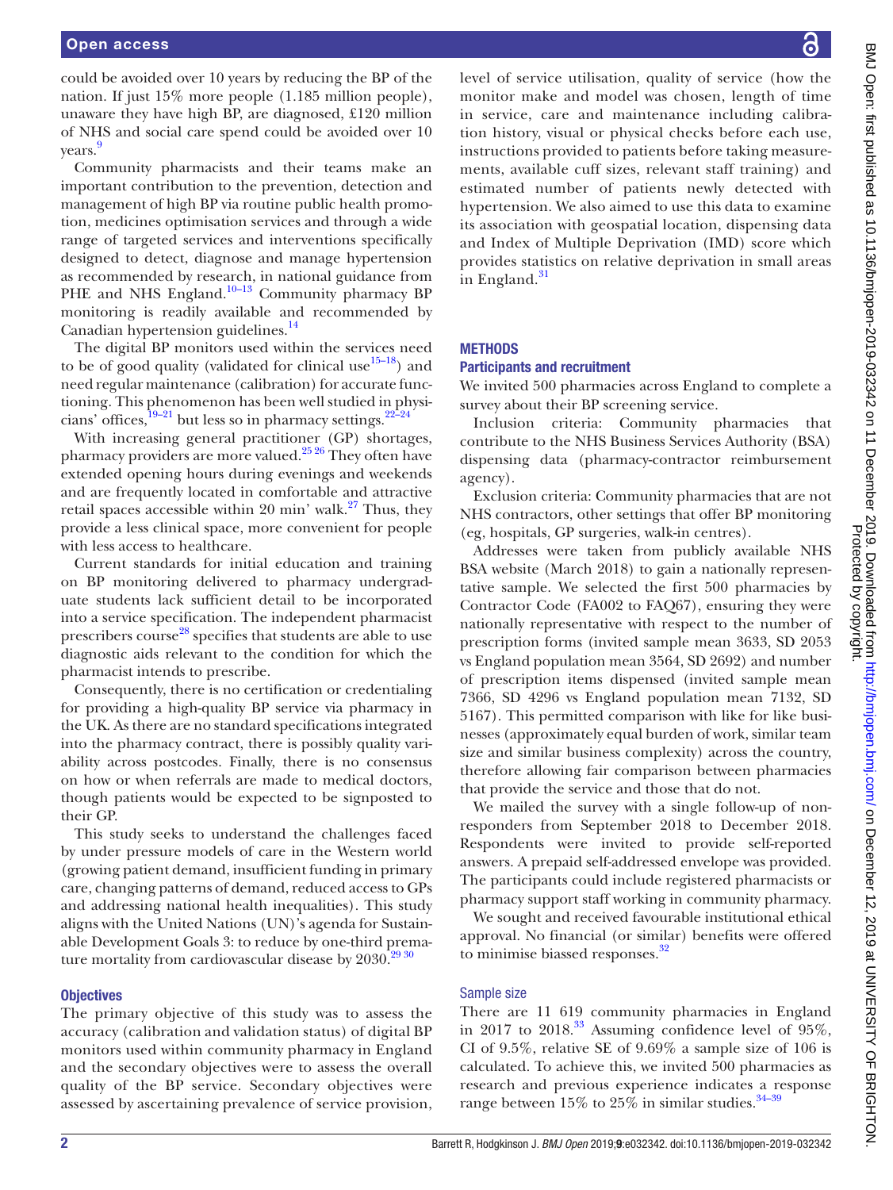could be avoided over 10 years by reducing the BP of the nation. If just 15% more people (1.185 million people), unaware they have high BP, are diagnosed, £120 million of NHS and social care spend could be avoided over 10 years. [9](#page-9-3)

Community pharmacists and their teams make an important contribution to the prevention, detection and management of high BP via routine public health promotion, medicines optimisation services and through a wide range of targeted services and interventions specifically designed to detect, diagnose and manage hypertension as recommended by research, in national guidance from PHE and NHS England.<sup>10–13</sup> Community pharmacy BP monitoring is readily available and recommended by Canadian hypertension guidelines.<sup>[14](#page-9-5)</sup>

The digital BP monitors used within the services need to be of good quality (validated for clinical use  $15-18$ ) and need regular maintenance (calibration) for accurate functioning. This phenomenon has been well studied in physicians' offices, $\frac{19-21}{2}$  but less so in pharmacy settings.  $\frac{22-24}{2}$ 

With increasing general practitioner (GP) shortages, pharmacy providers are more valued[.25 26](#page-10-3) They often have extended opening hours during evenings and weekends and are frequently located in comfortable and attractive retail spaces accessible within 20 min' walk.<sup>27</sup> Thus, they provide a less clinical space, more convenient for people with less access to healthcare.

Current standards for initial education and training on BP monitoring delivered to pharmacy undergraduate students lack sufficient detail to be incorporated into a service specification. The independent pharmacist prescribers course<sup>[28](#page-10-5)</sup> specifies that students are able to use diagnostic aids relevant to the condition for which the pharmacist intends to prescribe.

Consequently, there is no certification or credentialing for providing a high-quality BP service via pharmacy in the UK. As there are no standard specifications integrated into the pharmacy contract, there is possibly quality variability across postcodes. Finally, there is no consensus on how or when referrals are made to medical doctors, though patients would be expected to be signposted to their GP.

This study seeks to understand the challenges faced by under pressure models of care in the Western world (growing patient demand, insufficient funding in primary care, changing patterns of demand, reduced access to GPs and addressing national health inequalities). This study aligns with the United Nations (UN)'s agenda for Sustainable Development Goals 3: to reduce by one-third premature mortality from cardiovascular disease by  $2030.^{\frac{29}{30}}$ 

#### **Objectives**

The primary objective of this study was to assess the accuracy (calibration and validation status) of digital BP monitors used within community pharmacy in England and the secondary objectives were to assess the overall quality of the BP service. Secondary objectives were assessed by ascertaining prevalence of service provision, level of service utilisation, quality of service (how the monitor make and model was chosen, length of time in service, care and maintenance including calibration history, visual or physical checks before each use, instructions provided to patients before taking measurements, available cuff sizes, relevant staff training) and estimated number of patients newly detected with hypertension. We also aimed to use this data to examine its association with geospatial location, dispensing data and Index of Multiple Deprivation (IMD) score which provides statistics on relative deprivation in small areas in England.<sup>[31](#page-10-7)</sup>

# **METHODS**

#### Participants and recruitment

We invited 500 pharmacies across England to complete a survey about their BP screening service.

Inclusion criteria: Community pharmacies that contribute to the NHS Business Services Authority (BSA) dispensing data (pharmacy-contractor reimbursement agency).

Exclusion criteria: Community pharmacies that are not NHS contractors, other settings that offer BP monitoring (eg, hospitals, GP surgeries, walk-in centres).

Addresses were taken from publicly available NHS BSA website (March 2018) to gain a nationally representative sample. We selected the first 500 pharmacies by Contractor Code (FA002 to FAQ67), ensuring they were nationally representative with respect to the number of prescription forms (invited sample mean 3633, SD 2053 vs England population mean 3564, SD 2692) and number of prescription items dispensed (invited sample mean 7366, SD 4296 vs England population mean 7132, SD 5167). This permitted comparison with like for like businesses (approximately equal burden of work, similar team size and similar business complexity) across the country, therefore allowing fair comparison between pharmacies that provide the service and those that do not.

We mailed the survey with a single follow-up of nonresponders from September 2018 to December 2018. Respondents were invited to provide self-reported answers. A prepaid self-addressed envelope was provided. The participants could include registered pharmacists or pharmacy support staff working in community pharmacy.

We sought and received favourable institutional ethical approval. No financial (or similar) benefits were offered to minimise biassed responses.<sup>[32](#page-10-8)</sup>

# Sample size

There are 11 619 community pharmacies in England in 2017 to  $2018<sup>33</sup>$  Assuming confidence level of  $95\%$ , CI of 9.5%, relative SE of 9.69% a sample size of 106 is calculated. To achieve this, we invited 500 pharmacies as research and previous experience indicates a response range between  $15\%$  to  $25\%$  in similar studies.<sup>34–39</sup>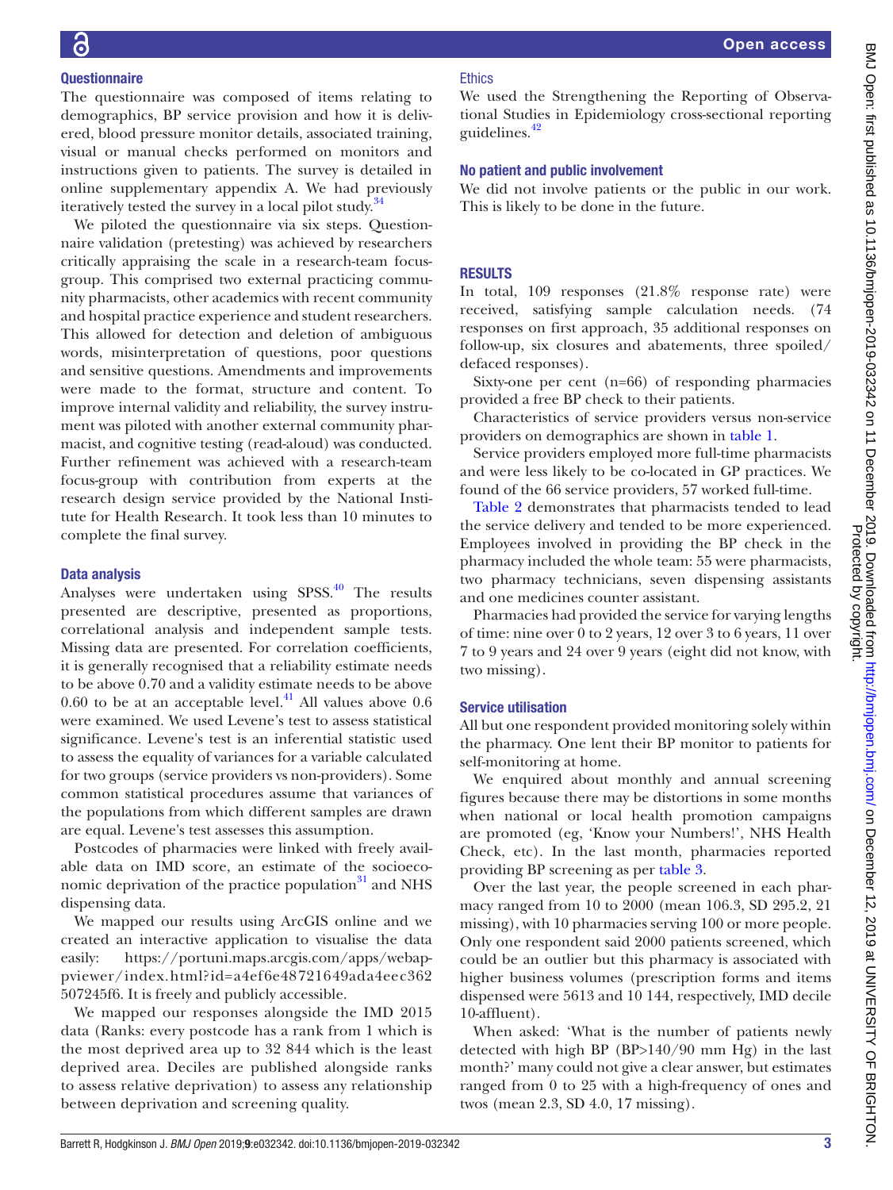# **Questionnaire**

The questionnaire was composed of items relating to demographics, BP service provision and how it is delivered, blood pressure monitor details, associated training, visual or manual checks performed on monitors and instructions given to patients. The survey is detailed in [online supplementary appendix A.](https://dx.doi.org/10.1136/bmjopen-2019-032342) We had previously iteratively tested the survey in a local pilot study.<sup>[34](#page-10-10)</sup>

We piloted the questionnaire via six steps. Questionnaire validation (pretesting) was achieved by researchers critically appraising the scale in a research-team focusgroup. This comprised two external practicing community pharmacists, other academics with recent community and hospital practice experience and student researchers. This allowed for detection and deletion of ambiguous words, misinterpretation of questions, poor questions and sensitive questions. Amendments and improvements were made to the format, structure and content. To improve internal validity and reliability, the survey instrument was piloted with another external community pharmacist, and cognitive testing (read-aloud) was conducted. Further refinement was achieved with a research-team focus-group with contribution from experts at the research design service provided by the National Institute for Health Research. It took less than 10 minutes to complete the final survey.

# Data analysis

Analyses were undertaken using SPSS. $40$  The results presented are descriptive, presented as proportions, correlational analysis and independent sample tests. Missing data are presented. For correlation coefficients, it is generally recognised that a reliability estimate needs to be above 0.70 and a validity estimate needs to be above 0.60 to be at an acceptable level.<sup>41</sup> All values above 0.6 were examined. We used Levene's test to assess statistical significance. Levene's test is an inferential statistic used to assess the equality of variances for a variable calculated for two groups (service providers vs non-providers). Some common statistical procedures assume that variances of the populations from which different samples are drawn are equal. Levene's test assesses this assumption.

Postcodes of pharmacies were linked with freely available data on IMD score, an estimate of the socioeconomic deprivation of the practice population $31$  and NHS dispensing data.

We mapped our results using ArcGIS online and we created an interactive application to visualise the data easily: [https://portuni.maps.arcgis.com/apps/webap](https://portuni.maps.arcgis.com/apps/webappviewer/index.html?id=a4ef6e48721649ada4eec362507245f6)[pviewer/index.html?id=a4ef6e48721649ada4eec362](https://portuni.maps.arcgis.com/apps/webappviewer/index.html?id=a4ef6e48721649ada4eec362507245f6) [507245f6](https://portuni.maps.arcgis.com/apps/webappviewer/index.html?id=a4ef6e48721649ada4eec362507245f6). It is freely and publicly accessible.

We mapped our responses alongside the IMD 2015 data (Ranks: every postcode has a rank from 1 which is the most deprived area up to 32 844 which is the least deprived area. Deciles are published alongside ranks to assess relative deprivation) to assess any relationship between deprivation and screening quality.

# **Ethics**

We used the Strengthening the Reporting of Observational Studies in Epidemiology cross-sectional reporting guidelines.<sup>42</sup>

# No patient and public involvement

We did not involve patients or the public in our work. This is likely to be done in the future.

# **RESULTS**

In total, 109 responses (21.8% response rate) were received, satisfying sample calculation needs. (74 responses on first approach, 35 additional responses on follow-up, six closures and abatements, three spoiled/ defaced responses).

Sixty-one per cent (n=66) of responding pharmacies provided a free BP check to their patients.

Characteristics of service providers versus non-service providers on demographics are shown in [table](#page-4-0) 1.

Service providers employed more full-time pharmacists and were less likely to be co-located in GP practices. We found of the 66 service providers, 57 worked full-time.

[Table](#page-5-0) 2 demonstrates that pharmacists tended to lead the service delivery and tended to be more experienced. Employees involved in providing the BP check in the pharmacy included the whole team: 55 were pharmacists, two pharmacy technicians, seven dispensing assistants and one medicines counter assistant.

Pharmacies had provided the service for varying lengths of time: nine over 0 to 2 years, 12 over 3 to 6 years, 11 over 7 to 9 years and 24 over 9 years (eight did not know, with two missing).

# Service utilisation

All but one respondent provided monitoring solely within the pharmacy. One lent their BP monitor to patients for self-monitoring at home.

We enquired about monthly and annual screening figures because there may be distortions in some months when national or local health promotion campaigns are promoted (eg, 'Know your Numbers!', NHS Health Check, etc). In the last month, pharmacies reported providing BP screening as per [table](#page-5-1) 3.

Over the last year, the people screened in each pharmacy ranged from 10 to 2000 (mean 106.3, SD 295.2, 21 missing), with 10 pharmacies serving 100 or more people. Only one respondent said 2000 patients screened, which could be an outlier but this pharmacy is associated with higher business volumes (prescription forms and items dispensed were 5613 and 10 144, respectively, IMD decile 10-affluent).

When asked: 'What is the number of patients newly detected with high BP (BP>140/90 mm Hg) in the last month?' many could not give a clear answer, but estimates ranged from 0 to 25 with a high-frequency of ones and twos (mean 2.3, SD 4.0, 17 missing).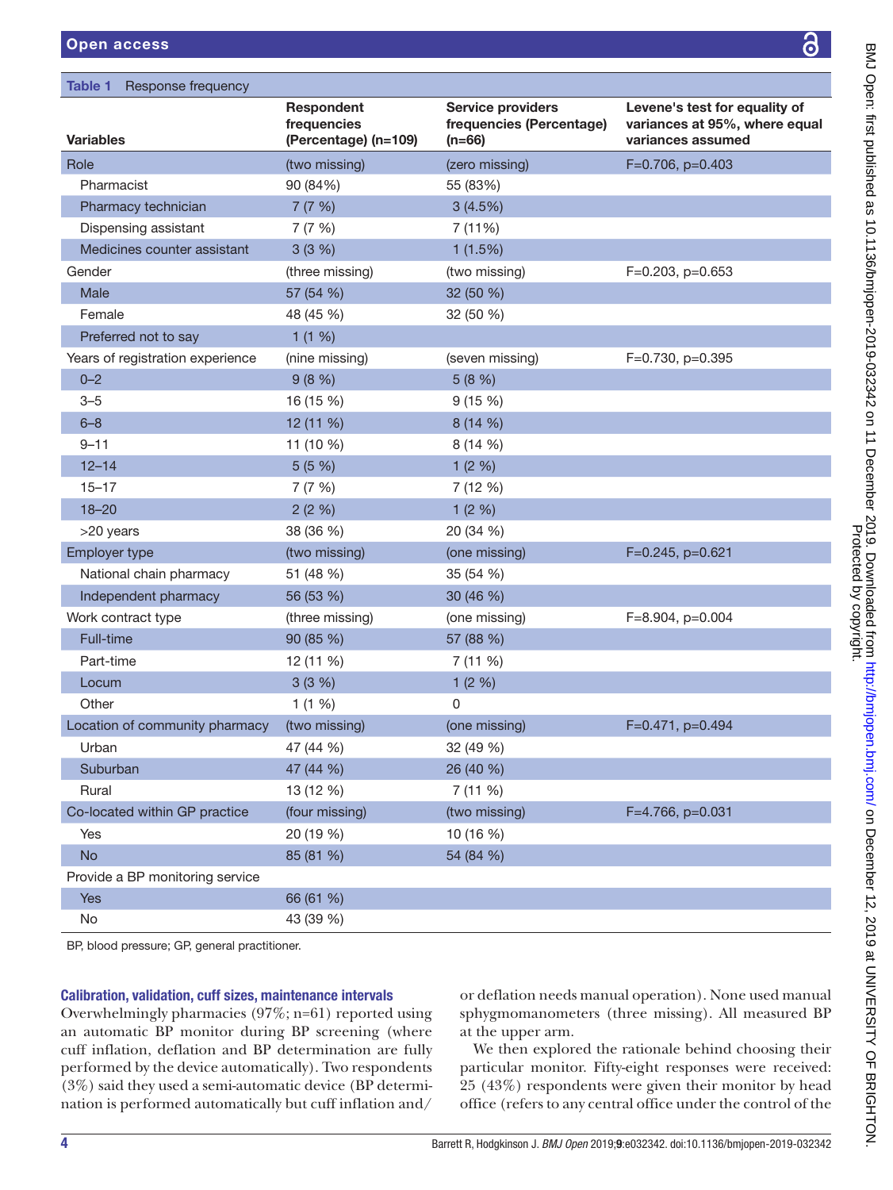<span id="page-4-0"></span>

| 3<br><b>Open access</b>          |                                                          |                                                                  |                                                                                     |  |  |
|----------------------------------|----------------------------------------------------------|------------------------------------------------------------------|-------------------------------------------------------------------------------------|--|--|
|                                  |                                                          |                                                                  |                                                                                     |  |  |
| Table 1<br>Response frequency    |                                                          |                                                                  |                                                                                     |  |  |
| <b>Variables</b>                 | <b>Respondent</b><br>frequencies<br>(Percentage) (n=109) | <b>Service providers</b><br>frequencies (Percentage)<br>$(n=66)$ | Levene's test for equality of<br>variances at 95%, where equal<br>variances assumed |  |  |
| Role                             | (two missing)                                            | (zero missing)                                                   | $F=0.706$ , $p=0.403$                                                               |  |  |
| Pharmacist                       | 90 (84%)                                                 | 55 (83%)                                                         |                                                                                     |  |  |
| Pharmacy technician              | 7(7%)                                                    | 3(4.5%)                                                          |                                                                                     |  |  |
| Dispensing assistant             | 7(7%)                                                    | 7 (11%)                                                          |                                                                                     |  |  |
| Medicines counter assistant      | 3(3%)                                                    | 1(1.5%)                                                          |                                                                                     |  |  |
| Gender                           | (three missing)                                          | (two missing)                                                    | $F=0.203$ , $p=0.653$                                                               |  |  |
| Male                             | 57 (54 %)                                                | 32 (50 %)                                                        |                                                                                     |  |  |
| Female                           | 48 (45 %)                                                | 32 (50 %)                                                        |                                                                                     |  |  |
| Preferred not to say             | 1(1%)                                                    |                                                                  |                                                                                     |  |  |
| Years of registration experience | (nine missing)                                           | (seven missing)                                                  | F=0.730, p=0.395                                                                    |  |  |
| $0 - 2$                          | 9(8%)                                                    | 5(8%)                                                            |                                                                                     |  |  |
| $3 - 5$                          | 16 (15 %)                                                | 9(15%)                                                           |                                                                                     |  |  |
| $6 - 8$                          | 12 (11 %)                                                | 8 (14 %)                                                         |                                                                                     |  |  |
| $9 - 11$                         | 11 (10 %)                                                | 8 (14 %)                                                         |                                                                                     |  |  |
| $12 - 14$                        | 5(5%)                                                    | 1(2%)                                                            |                                                                                     |  |  |
| $15 - 17$                        | 7(7%)                                                    | 7 (12 %)                                                         |                                                                                     |  |  |
| $18 - 20$                        | $2(2\%)$                                                 | 1(2%)                                                            |                                                                                     |  |  |
| >20 years                        | 38 (36 %)                                                | 20 (34 %)                                                        |                                                                                     |  |  |

Employer type (two missing) (one missing) (one missing) F=0.245, p=0.621

Work contract type (three missing) (one missing) F=8.904, p=0.004

Location of community pharmacy (two missing) (one missing) F=0.471, p=0.494

Co-located within GP practice (four missing) (two missing) F=4.766, p=0.031

Full-time 90 (85 %) 57 (88 %) Part-time 12 (11 %) 7 (11 %) Locum 3 (3 %) 1 (2 %) Other **1** (1 %) 0

Urban 47 (44 %) 32 (49 %)

Yes 20 (19 %) 10 (16 %)

National chain pharmacy 51 (48 %) 35 (54 %) Independent pharmacy 56 (53 %) 30 (46 %)

Suburban 47 (44 %) 26 (40 %) Rural 13 (12 %) 7 (11 %)

No 34 (84 %)

| .<br>,<br>-<br>)<br>J | ייני הייט בין 20 סטוונאמס ו-1 ב-20 סטו ב-20 סטו ב-20 סטו ב-20 סטווני הייט ב-20 סטווני הייט ב-20 סטווני הייט ב- |
|-----------------------|----------------------------------------------------------------------------------------------------------------|
| ١                     | in Sir Uccorritary - Mind of Sir Sir Mind In Sir United In Sir                                                 |

BP, blood pressure; GP, general practitioner.

Yes 66 (61 %) No 43 (39 %)

Provide a BP monitoring service

# Calibration, validation, cuff sizes, maintenance intervals

Overwhelmingly pharmacies (97%; n=61) reported using an automatic BP monitor during BP screening (where cuff inflation, deflation and BP determination are fully performed by the device automatically). Two respondents (3%) said they used a semi-automatic device (BP determination is performed automatically but cuff inflation and/

or deflation needs manual operation). None used manual sphygmomanometers (three missing). All measured BP at the upper arm.

We then explored the rationale behind choosing their particular monitor. Fifty-eight responses were received: 25 (43%) respondents were given their monitor by head office (refers to any central office under the control of the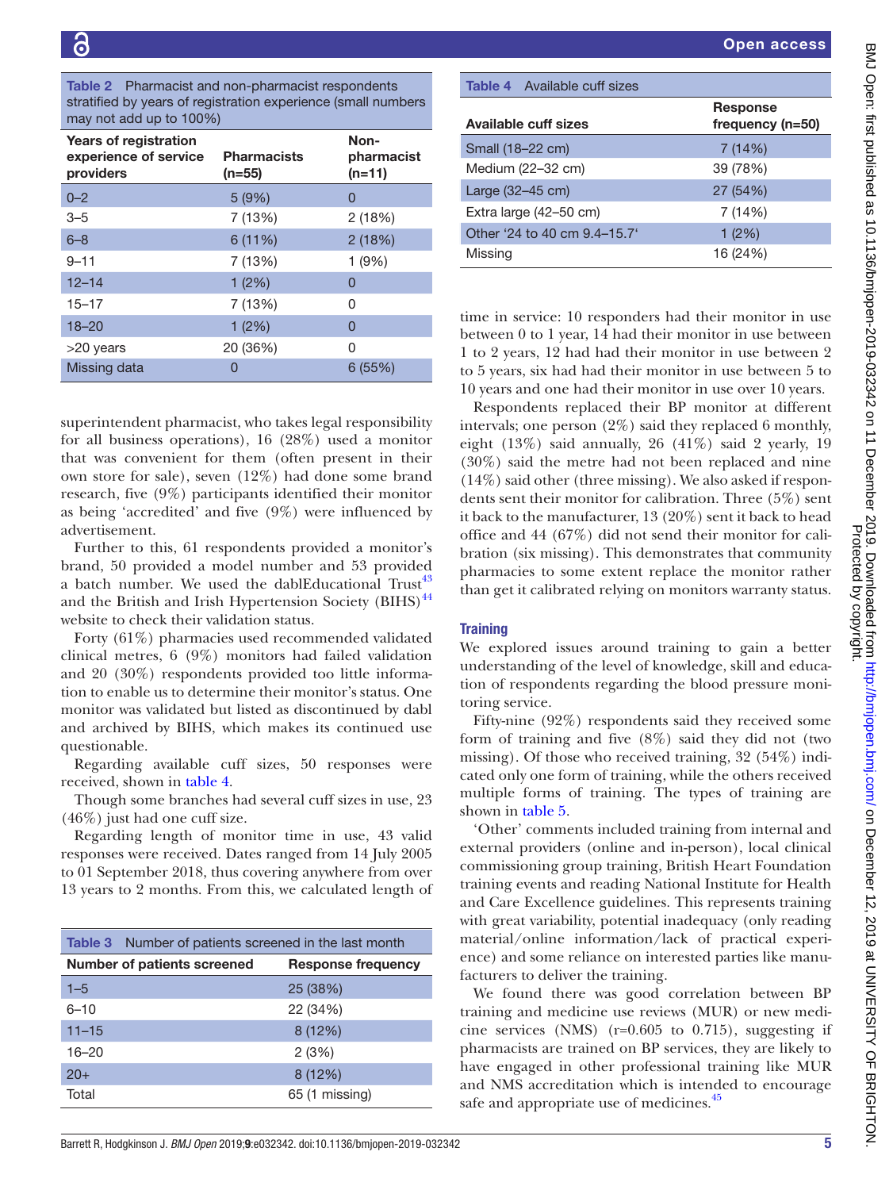<span id="page-5-0"></span>Table 2 Pharmacist and non-pharmacist respondents stratified by years of registration experience (small numbers may not add up to 100%)

| Years of registration<br>experience of service<br>providers | <b>Pharmacists</b><br>$(n=55)$ | Non-<br>pharmacist<br>$(n=11)$ |
|-------------------------------------------------------------|--------------------------------|--------------------------------|
| $0 - 2$                                                     | 5(9%)                          | 0                              |
| $3 - 5$                                                     | 7 (13%)                        | 2(18%)                         |
| $6 - 8$                                                     | 6(11%)                         | 2(18%)                         |
| $9 - 11$                                                    | 7 (13%)                        | 1(9%)                          |
| $12 - 14$                                                   | 1(2%)                          | 0                              |
| $15 - 17$                                                   | 7 (13%)                        | 0                              |
| $18 - 20$                                                   | 1(2%)                          | 0                              |
| >20 years                                                   | 20 (36%)                       | 0                              |
| <b>Missing data</b>                                         | N                              | 6(55%)                         |

superintendent pharmacist, who takes legal responsibility for all business operations), 16 (28%) used a monitor that was convenient for them (often present in their own store for sale), seven (12%) had done some brand research, five (9%) participants identified their monitor as being 'accredited' and five (9%) were influenced by advertisement.

Further to this, 61 respondents provided a monitor's brand, 50 provided a model number and 53 provided a batch number. We used the dablEducational Trust<sup>43</sup> and the British and Irish Hypertension Society (BIHS)<sup>44</sup> website to check their validation status.

Forty (61%) pharmacies used recommended validated clinical metres, 6 (9%) monitors had failed validation and 20 (30%) respondents provided too little information to enable us to determine their monitor's status. One monitor was validated but listed as discontinued by dabl and archived by BIHS, which makes its continued use questionable.

Regarding available cuff sizes, 50 responses were received, shown in [table](#page-5-2) 4.

Though some branches had several cuff sizes in use, 23 (46%) just had one cuff size.

Regarding length of monitor time in use, 43 valid responses were received. Dates ranged from 14 July 2005 to 01 September 2018, thus covering anywhere from over 13 years to 2 months. From this, we calculated length of

<span id="page-5-1"></span>

| <b>Table 3</b> Number of patients screened in the last month |                           |  |  |
|--------------------------------------------------------------|---------------------------|--|--|
| Number of patients screened                                  | <b>Response frequency</b> |  |  |
| $1 - 5$                                                      | 25 (38%)                  |  |  |
| $6 - 10$                                                     | 22 (34%)                  |  |  |
| $11 - 15$                                                    | 8(12%)                    |  |  |
| $16 - 20$                                                    | 2(3%)                     |  |  |
| $20+$                                                        | 8(12%)                    |  |  |
| Total                                                        | 65 (1 missing)            |  |  |

 $(n=50)$ 

<span id="page-5-2"></span>

| <b>Table 4</b> Available cuff sizes                                                                                                                                                                                                                                                                                                                                                                                  |                              |
|----------------------------------------------------------------------------------------------------------------------------------------------------------------------------------------------------------------------------------------------------------------------------------------------------------------------------------------------------------------------------------------------------------------------|------------------------------|
| <b>Available cuff sizes</b>                                                                                                                                                                                                                                                                                                                                                                                          | <b>Response</b><br>frequency |
| Small (18-22 cm)                                                                                                                                                                                                                                                                                                                                                                                                     | 7 (14%)                      |
| Medium (22-32 cm)                                                                                                                                                                                                                                                                                                                                                                                                    | 39 (78%)                     |
| Large (32-45 cm)                                                                                                                                                                                                                                                                                                                                                                                                     | 27 (54%)                     |
| Extra large (42–50 cm)                                                                                                                                                                                                                                                                                                                                                                                               | 7 (14%)                      |
| Other '24 to 40 cm 9.4-15.7'                                                                                                                                                                                                                                                                                                                                                                                         | 1(2%)                        |
| Missing                                                                                                                                                                                                                                                                                                                                                                                                              | 16 (24%)                     |
| ime in service: 10 responders had their monito<br>between 0 to 1 year, 14 had their monitor in use l<br>1 to 2 years, 12 had had their monitor in use be<br>o 5 years, six had had their monitor in use betwe<br>10 years and one had their monitor in use over 1<br>Respondents replaced their BP monitor at o<br>ntervals; one person (2%) said they replaced 6 r<br>eight (13%) said annually, 26 (41%) said 2 ye |                              |
| $(30\%)$ said the metre had not been replaced at                                                                                                                                                                                                                                                                                                                                                                     |                              |

time in service: 10 responders had their monitor in use between 0 to 1 year, 14 had their monitor in use between 1 to 2 years, 12 had had their monitor in use between 2 to 5 years, six had had their monitor in use between 5 to 10 years and one had their monitor in use over 10 years.

Respondents replaced their BP monitor at different intervals; one person (2%) said they replaced 6 monthly, eight  $(13\%)$  said annually, 26  $(41\%)$  said 2 yearly, 19 (30%) said the metre had not been replaced and nine (14%) said other (three missing). We also asked if respondents sent their monitor for calibration. Three (5%) sent it back to the manufacturer, 13 (20%) sent it back to head office and 44 (67%) did not send their monitor for calibration (six missing). This demonstrates that community pharmacies to some extent replace the monitor rather than get it calibrated relying on monitors warranty status.

# **Training**

We explored issues around training to gain a better understanding of the level of knowledge, skill and education of respondents regarding the blood pressure monitoring service.

Fifty-nine (92%) respondents said they received some form of training and five (8%) said they did not (two missing). Of those who received training, 32 (54%) indicated only one form of training, while the others received multiple forms of training. The types of training are shown in [table](#page-6-0) 5.

'Other' comments included training from internal and external providers (online and in-person), local clinical commissioning group training, British Heart Foundation training events and reading National Institute for Health and Care Excellence guidelines. This represents training with great variability, potential inadequacy (only reading material/online information/lack of practical experience) and some reliance on interested parties like manufacturers to deliver the training.

We found there was good correlation between BP training and medicine use reviews (MUR) or new medicine services (NMS)  $(r=0.605 \text{ to } 0.715)$ , suggesting if pharmacists are trained on BP services, they are likely to have engaged in other professional training like MUR and NMS accreditation which is intended to encourage safe and appropriate use of medicines.<sup>[45](#page-10-16)</sup>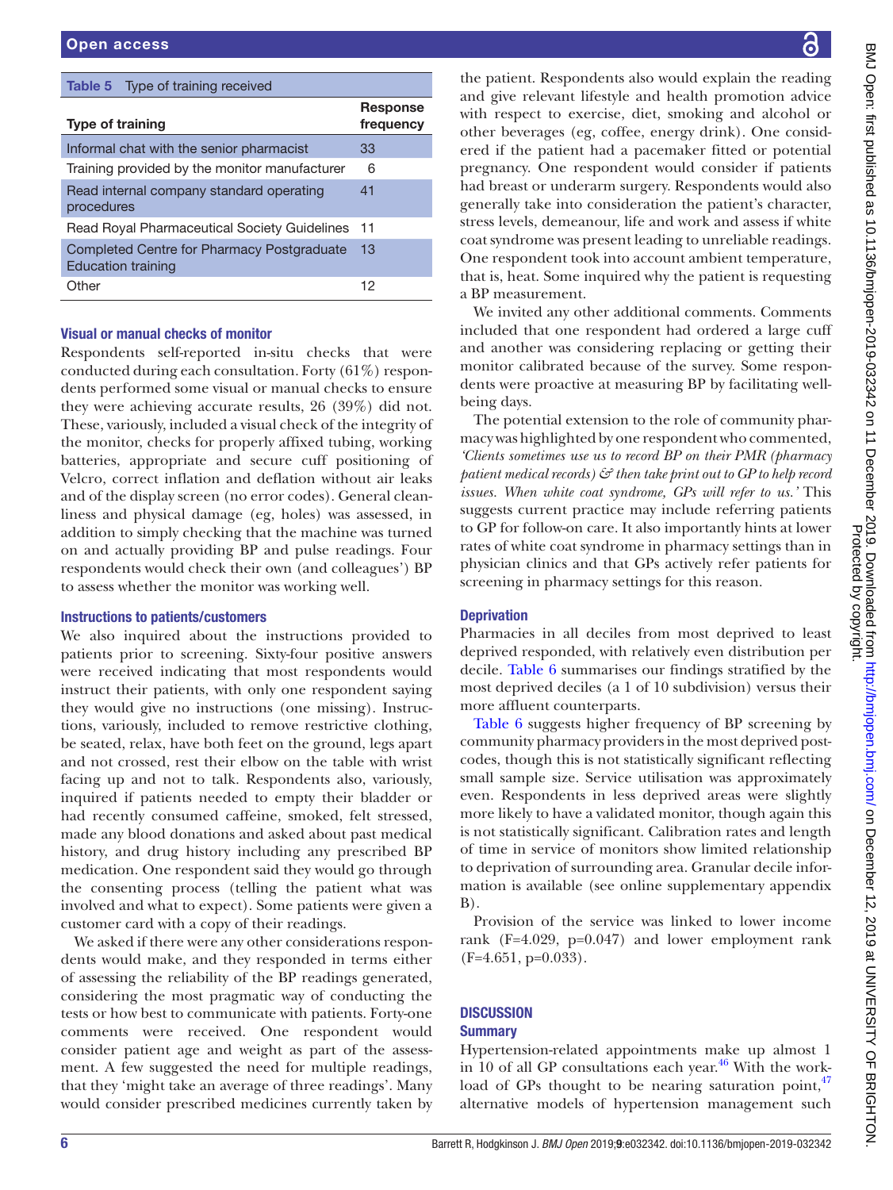<span id="page-6-0"></span>

| Type of training received<br>Table 5                                           |                              |
|--------------------------------------------------------------------------------|------------------------------|
| <b>Type of training</b>                                                        | <b>Response</b><br>frequency |
| Informal chat with the senior pharmacist                                       | 33                           |
| Training provided by the monitor manufacturer                                  | 6                            |
| Read internal company standard operating<br>procedures                         | 41                           |
| Read Royal Pharmaceutical Society Guidelines                                   | 11                           |
| <b>Completed Centre for Pharmacy Postgraduate</b><br><b>Education training</b> | 13                           |
| Other                                                                          | 12                           |

# Visual or manual checks of monitor

Respondents self-reported in-situ checks that were conducted during each consultation. Forty (61%) respondents performed some visual or manual checks to ensure they were achieving accurate results, 26 (39%) did not. These, variously, included a visual check of the integrity of the monitor, checks for properly affixed tubing, working batteries, appropriate and secure cuff positioning of Velcro, correct inflation and deflation without air leaks and of the display screen (no error codes). General cleanliness and physical damage (eg, holes) was assessed, in addition to simply checking that the machine was turned on and actually providing BP and pulse readings. Four respondents would check their own (and colleagues') BP to assess whether the monitor was working well.

# Instructions to patients/customers

We also inquired about the instructions provided to patients prior to screening. Sixty-four positive answers were received indicating that most respondents would instruct their patients, with only one respondent saying they would give no instructions (one missing). Instructions, variously, included to remove restrictive clothing, be seated, relax, have both feet on the ground, legs apart and not crossed, rest their elbow on the table with wrist facing up and not to talk. Respondents also, variously, inquired if patients needed to empty their bladder or had recently consumed caffeine, smoked, felt stressed, made any blood donations and asked about past medical history, and drug history including any prescribed BP medication. One respondent said they would go through the consenting process (telling the patient what was involved and what to expect). Some patients were given a customer card with a copy of their readings.

We asked if there were any other considerations respondents would make, and they responded in terms either of assessing the reliability of the BP readings generated, considering the most pragmatic way of conducting the tests or how best to communicate with patients. Forty-one comments were received. One respondent would consider patient age and weight as part of the assessment. A few suggested the need for multiple readings, that they 'might take an average of three readings'. Many would consider prescribed medicines currently taken by

the patient. Respondents also would explain the reading and give relevant lifestyle and health promotion advice with respect to exercise, diet, smoking and alcohol or other beverages (eg, coffee, energy drink). One considered if the patient had a pacemaker fitted or potential pregnancy. One respondent would consider if patients had breast or underarm surgery. Respondents would also generally take into consideration the patient's character, stress levels, demeanour, life and work and assess if white coat syndrome was present leading to unreliable readings. One respondent took into account ambient temperature, that is, heat. Some inquired why the patient is requesting a BP measurement.

We invited any other additional comments. Comments included that one respondent had ordered a large cuff and another was considering replacing or getting their monitor calibrated because of the survey. Some respondents were proactive at measuring BP by facilitating wellbeing days.

The potential extension to the role of community pharmacy was highlighted by one respondent who commented, *'Clients sometimes use us to record BP on their PMR (pharmacy patient medical records) & then take print out to GP to help record issues. When white coat syndrome, GPs will refer to us.'* This suggests current practice may include referring patients to GP for follow-on care. It also importantly hints at lower rates of white coat syndrome in pharmacy settings than in physician clinics and that GPs actively refer patients for screening in pharmacy settings for this reason.

# **Deprivation**

Pharmacies in all deciles from most deprived to least deprived responded, with relatively even distribution per decile. [Table](#page-7-0) 6 summarises our findings stratified by the most deprived deciles (a 1 of 10 subdivision) versus their more affluent counterparts.

[Table](#page-7-0) 6 suggests higher frequency of BP screening by community pharmacy providers in the most deprived postcodes, though this is not statistically significant reflecting small sample size. Service utilisation was approximately even. Respondents in less deprived areas were slightly more likely to have a validated monitor, though again this is not statistically significant. Calibration rates and length of time in service of monitors show limited relationship to deprivation of surrounding area. Granular decile information is available (see [online supplementary appendix](https://dx.doi.org/10.1136/bmjopen-2019-032342)  [B](https://dx.doi.org/10.1136/bmjopen-2019-032342)).

Provision of the service was linked to lower income rank (F=4.029, p=0.047) and lower employment rank  $(F=4.651, p=0.033)$ .

# **DISCUSSION Summary**

# Hypertension-related appointments make up almost 1 in 10 of all GP consultations each year.<sup>[46](#page-10-17)</sup> With the work-load of GPs thought to be nearing saturation point, <sup>[47](#page-10-18)</sup> alternative models of hypertension management such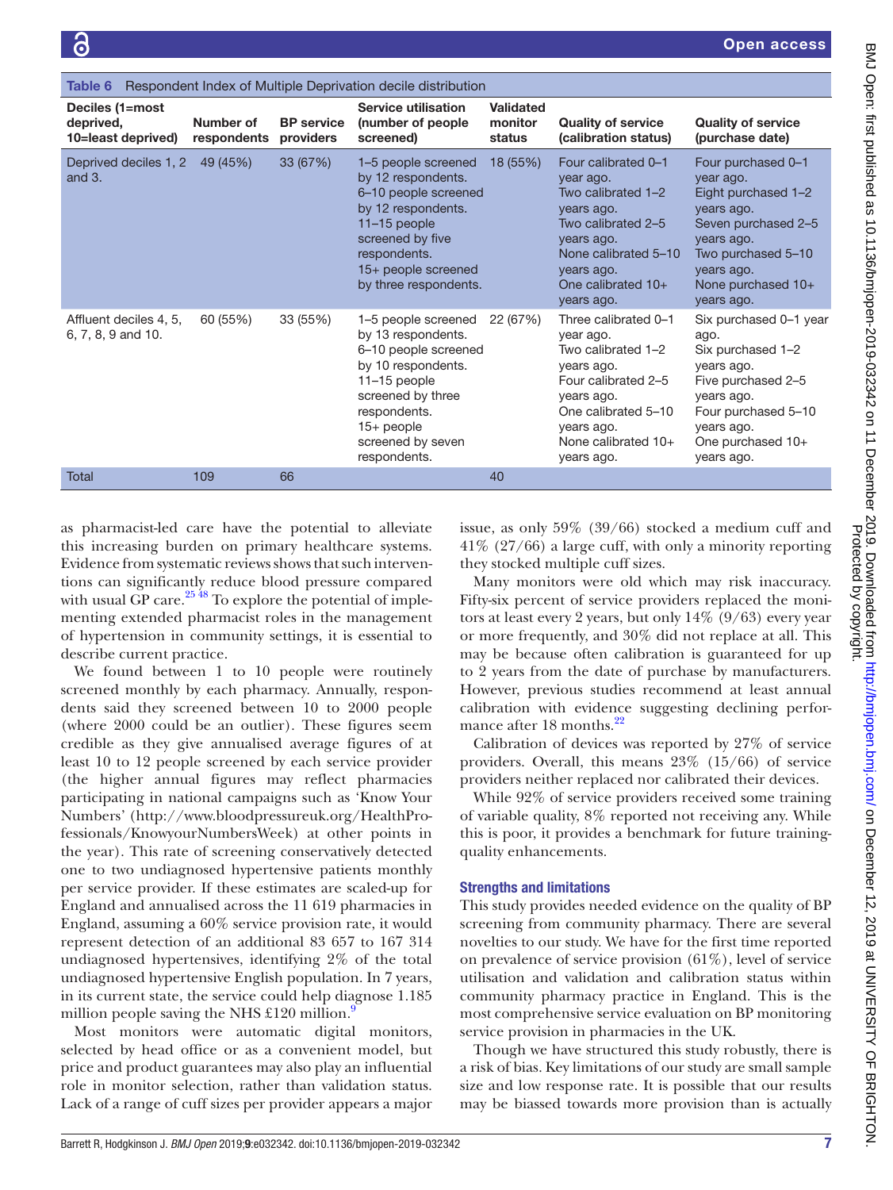<span id="page-7-0"></span>

| Respondent Index of Multiple Deprivation decile distribution<br>Table 6 |                          |                                |                                                                                                                                                                                                 |                                       |                                                                                                                                                                                      |                                                                                                                                                                                   |
|-------------------------------------------------------------------------|--------------------------|--------------------------------|-------------------------------------------------------------------------------------------------------------------------------------------------------------------------------------------------|---------------------------------------|--------------------------------------------------------------------------------------------------------------------------------------------------------------------------------------|-----------------------------------------------------------------------------------------------------------------------------------------------------------------------------------|
| Deciles (1=most<br>deprived,<br>10=least deprived)                      | Number of<br>respondents | <b>BP</b> service<br>providers | <b>Service utilisation</b><br>(number of people)<br>screened)                                                                                                                                   | <b>Validated</b><br>monitor<br>status | <b>Quality of service</b><br>(calibration status)                                                                                                                                    | <b>Quality of service</b><br>(purchase date)                                                                                                                                      |
| Deprived deciles 1, 2 49 (45%)<br>and $3.$                              |                          | 33 (67%)                       | 1–5 people screened<br>by 12 respondents.<br>6-10 people screened<br>by 12 respondents.<br>$11-15$ people<br>screened by five<br>respondents.<br>15+ people screened<br>by three respondents.   | 18 (55%)                              | Four calibrated 0-1<br>year ago.<br>Two calibrated 1-2<br>years ago.<br>Two calibrated 2-5<br>years ago.<br>None calibrated 5-10<br>years ago.<br>One calibrated 10+<br>years ago.   | Four purchased 0-1<br>year ago.<br>Eight purchased 1-2<br>years ago.<br>Seven purchased 2-5<br>years ago.<br>Two purchased 5-10<br>years ago.<br>None purchased 10+<br>years ago. |
| Affluent deciles 4, 5,<br>6, 7, 8, 9 and 10.                            | 60 (55%)                 | 33 (55%)                       | 1-5 people screened<br>by 13 respondents.<br>6-10 people screened<br>by 10 respondents.<br>11-15 people<br>screened by three<br>respondents.<br>15+ people<br>screened by seven<br>respondents. | 22 (67%)                              | Three calibrated 0-1<br>year ago.<br>Two calibrated 1-2<br>years ago.<br>Four calibrated 2-5<br>years ago.<br>One calibrated 5-10<br>years ago.<br>None calibrated 10+<br>years ago. | Six purchased 0-1 year<br>ago.<br>Six purchased 1-2<br>years ago.<br>Five purchased 2-5<br>years ago.<br>Four purchased 5-10<br>years ago.<br>One purchased 10+<br>years ago.     |
| Total                                                                   | 109                      | 66                             |                                                                                                                                                                                                 | 40                                    |                                                                                                                                                                                      |                                                                                                                                                                                   |

as pharmacist-led care have the potential to alleviate this increasing burden on primary healthcare systems. Evidence from systematic reviews shows that such interventions can significantly reduce blood pressure compared with usual GP care. $^{25\,48}$  To explore the potential of implementing extended pharmacist roles in the management of hypertension in community settings, it is essential to describe current practice.

We found between 1 to 10 people were routinely screened monthly by each pharmacy. Annually, respondents said they screened between 10 to 2000 people (where 2000 could be an outlier). These figures seem credible as they give annualised average figures of at least 10 to 12 people screened by each service provider (the higher annual figures may reflect pharmacies participating in national campaigns such as 'Know Your Numbers' ([http://www.bloodpressureuk.org/HealthPro](http://www.bloodpressureuk.org/HealthProfessionals/KnowyourNumbersWeek)[fessionals/KnowyourNumbersWeek](http://www.bloodpressureuk.org/HealthProfessionals/KnowyourNumbersWeek)) at other points in the year). This rate of screening conservatively detected one to two undiagnosed hypertensive patients monthly per service provider. If these estimates are scaled-up for England and annualised across the 11 619 pharmacies in England, assuming a 60% service provision rate, it would represent detection of an additional 83 657 to 167 314 undiagnosed hypertensives, identifying 2% of the total undiagnosed hypertensive English population. In 7 years, in its current state, the service could help diagnose 1.185 million people saving the NHS £120 million.<sup>9</sup>

Most monitors were automatic digital monitors, selected by head office or as a convenient model, but price and product guarantees may also play an influential role in monitor selection, rather than validation status. Lack of a range of cuff sizes per provider appears a major issue, as only 59% (39/66) stocked a medium cuff and 41% (27/66) a large cuff, with only a minority reporting they stocked multiple cuff sizes.

Many monitors were old which may risk inaccuracy. Fifty-six percent of service providers replaced the monitors at least every 2 years, but only  $14\%$  (9/63) every year or more frequently, and 30% did not replace at all. This may be because often calibration is guaranteed for up to 2 years from the date of purchase by manufacturers. However, previous studies recommend at least annual calibration with evidence suggesting declining perfor-mance after 18 months.<sup>[22](#page-10-2)</sup>

Calibration of devices was reported by 27% of service providers. Overall, this means 23% (15/66) of service providers neither replaced nor calibrated their devices.

While 92% of service providers received some training of variable quality, 8% reported not receiving any. While this is poor, it provides a benchmark for future trainingquality enhancements.

# Strengths and limitations

This study provides needed evidence on the quality of BP screening from community pharmacy. There are several novelties to our study. We have for the first time reported on prevalence of service provision (61%), level of service utilisation and validation and calibration status within community pharmacy practice in England. This is the most comprehensive service evaluation on BP monitoring service provision in pharmacies in the UK.

Though we have structured this study robustly, there is a risk of bias. Key limitations of our study are small sample size and low response rate. It is possible that our results may be biassed towards more provision than is actually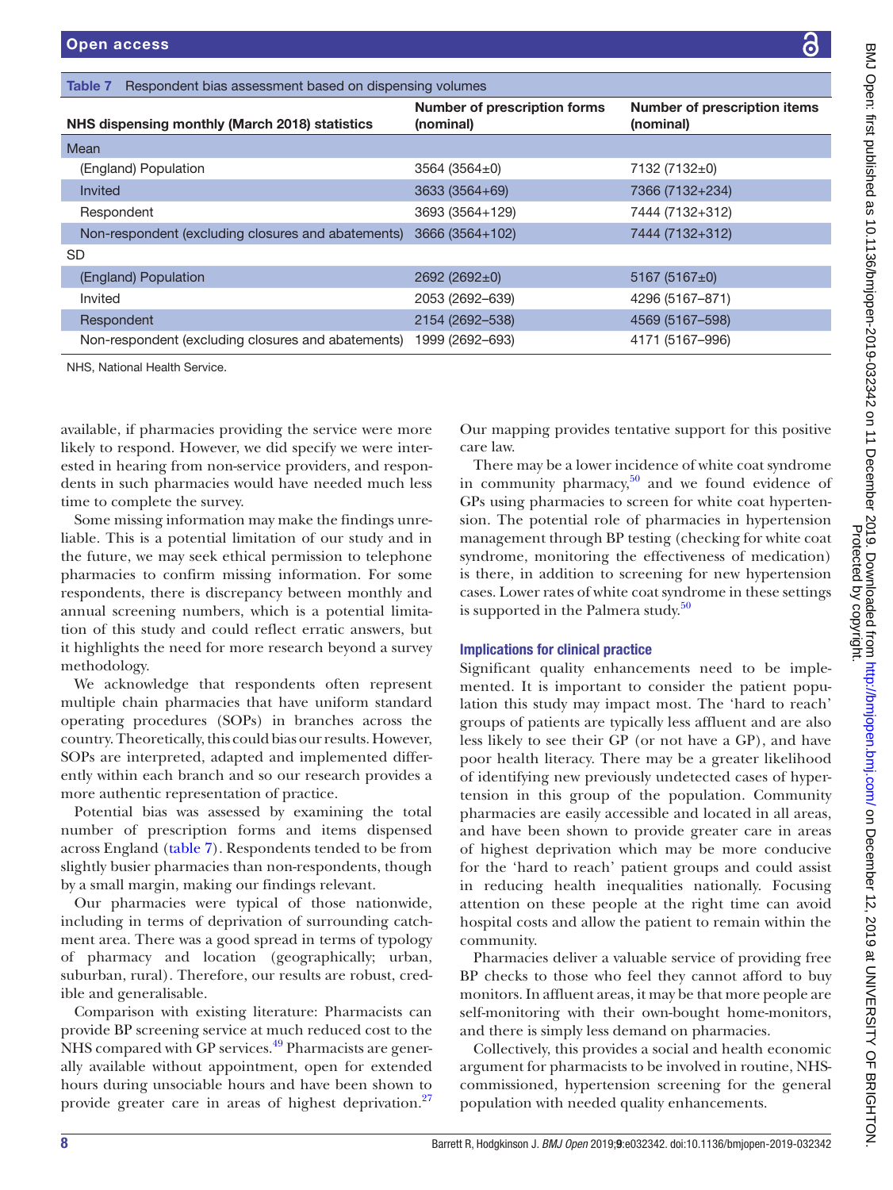<span id="page-8-0"></span>

| NHS dispensing monthly (March 2018) statistics     | <b>Number of prescription forms</b><br>(nominal) | Number of prescription items<br>(nominal) |
|----------------------------------------------------|--------------------------------------------------|-------------------------------------------|
| Mean                                               |                                                  |                                           |
| (England) Population                               | $3564 (3564 \pm 0)$                              | 7132 (7132±0)                             |
| Invited                                            | $3633(3564+69)$                                  | 7366 (7132+234)                           |
| Respondent                                         | 3693 (3564+129)                                  | 7444 (7132+312)                           |
| Non-respondent (excluding closures and abatements) | 3666 (3564+102)                                  | 7444 (7132+312)                           |
| <b>SD</b>                                          |                                                  |                                           |
| (England) Population                               | $2692(2692\pm0)$                                 | $5167(5167\pm0)$                          |
| Invited                                            | 2053 (2692-639)                                  | 4296 (5167-871)                           |
| Respondent                                         | 2154 (2692-538)                                  | 4569 (5167–598)                           |
| Non-respondent (excluding closures and abatements) | 1999 (2692-693)                                  | 4171 (5167-996)                           |
| NHS, National Health Service.                      |                                                  |                                           |

available, if pharmacies providing the service were more likely to respond. However, we did specify we were interested in hearing from non-service providers, and respondents in such pharmacies would have needed much less time to complete the survey.

Some missing information may make the findings unreliable. This is a potential limitation of our study and in the future, we may seek ethical permission to telephone pharmacies to confirm missing information. For some respondents, there is discrepancy between monthly and annual screening numbers, which is a potential limitation of this study and could reflect erratic answers, but it highlights the need for more research beyond a survey methodology.

We acknowledge that respondents often represent multiple chain pharmacies that have uniform standard operating procedures (SOPs) in branches across the country. Theoretically, this could bias our results. However, SOPs are interpreted, adapted and implemented differently within each branch and so our research provides a more authentic representation of practice.

Potential bias was assessed by examining the total number of prescription forms and items dispensed across England ([table](#page-8-0) 7). Respondents tended to be from slightly busier pharmacies than non-respondents, though by a small margin, making our findings relevant.

Our pharmacies were typical of those nationwide, including in terms of deprivation of surrounding catchment area. There was a good spread in terms of typology of pharmacy and location (geographically; urban, suburban, rural). Therefore, our results are robust, credible and generalisable.

Comparison with existing literature: Pharmacists can provide BP screening service at much reduced cost to the NHS compared with GP services.<sup>49</sup> Pharmacists are generally available without appointment, open for extended hours during unsociable hours and have been shown to provide greater care in areas of highest deprivation.<sup>27</sup>

Our mapping provides tentative support for this positive care law.

There may be a lower incidence of white coat syndrome in community pharmacy, $50$  and we found evidence of GPs using pharmacies to screen for white coat hypertension. The potential role of pharmacies in hypertension management through BP testing (checking for white coat syndrome, monitoring the effectiveness of medication) is there, in addition to screening for new hypertension cases. Lower rates of white coat syndrome in these settings is supported in the Palmera study. $50$ 

# Implications for clinical practice

Significant quality enhancements need to be implemented. It is important to consider the patient population this study may impact most. The 'hard to reach' groups of patients are typically less affluent and are also less likely to see their GP (or not have a GP), and have poor health literacy. There may be a greater likelihood of identifying new previously undetected cases of hypertension in this group of the population. Community pharmacies are easily accessible and located in all areas, and have been shown to provide greater care in areas of highest deprivation which may be more conducive for the 'hard to reach' patient groups and could assist in reducing health inequalities nationally. Focusing attention on these people at the right time can avoid hospital costs and allow the patient to remain within the community.

Pharmacies deliver a valuable service of providing free BP checks to those who feel they cannot afford to buy monitors. In affluent areas, it may be that more people are self-monitoring with their own-bought home-monitors, and there is simply less demand on pharmacies.

Collectively, this provides a social and health economic argument for pharmacists to be involved in routine, NHScommissioned, hypertension screening for the general population with needed quality enhancements.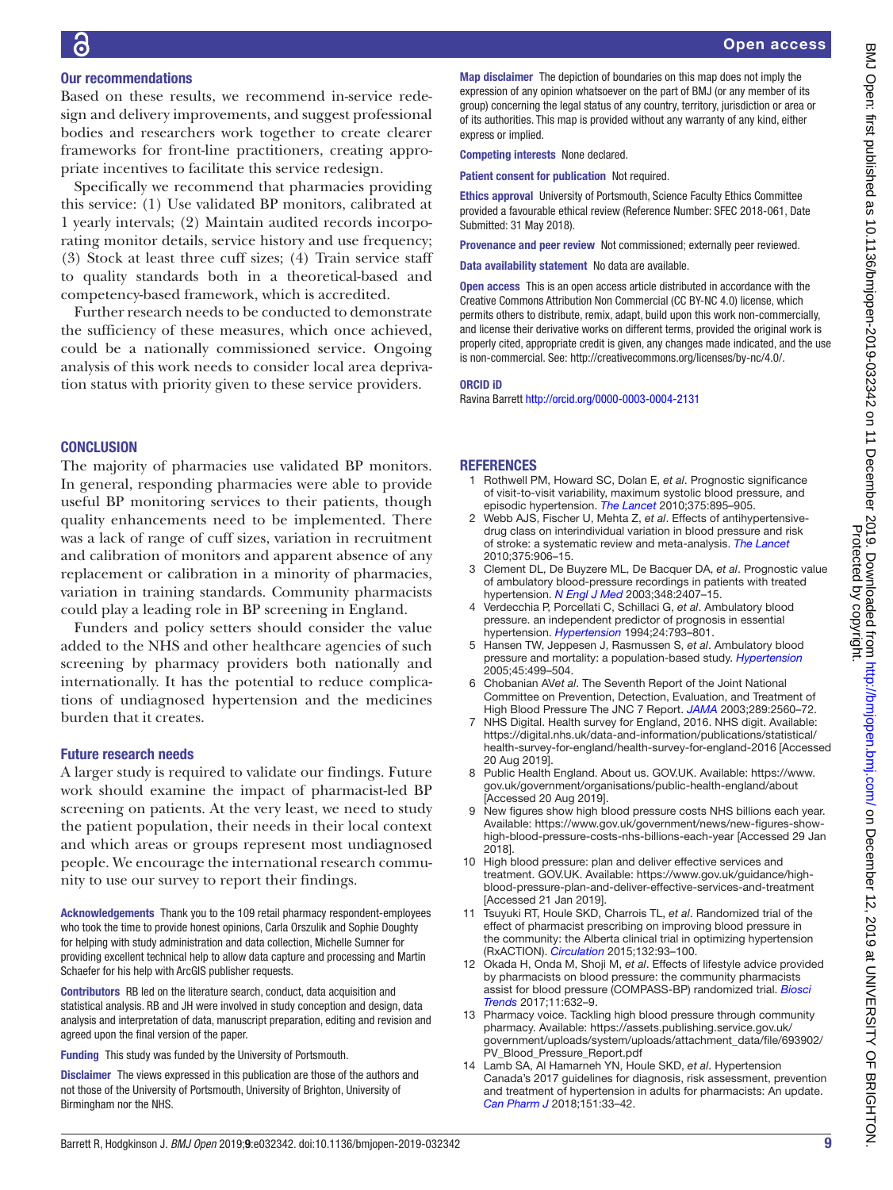# Our recommendations

Based on these results, we recommend in-service redesign and delivery improvements, and suggest professional bodies and researchers work together to create clearer frameworks for front-line practitioners, creating appropriate incentives to facilitate this service redesign.

Specifically we recommend that pharmacies providing this service: (1) Use validated BP monitors, calibrated at 1 yearly intervals; (2) Maintain audited records incorporating monitor details, service history and use frequency; (3) Stock at least three cuff sizes; (4) Train service staff to quality standards both in a theoretical-based and competency-based framework, which is accredited.

Further research needs to be conducted to demonstrate the sufficiency of these measures, which once achieved, could be a nationally commissioned service. Ongoing analysis of this work needs to consider local area deprivation status with priority given to these service providers.

# **CONCLUSION**

The majority of pharmacies use validated BP monitors. In general, responding pharmacies were able to provide useful BP monitoring services to their patients, though quality enhancements need to be implemented. There was a lack of range of cuff sizes, variation in recruitment and calibration of monitors and apparent absence of any replacement or calibration in a minority of pharmacies, variation in training standards. Community pharmacists could play a leading role in BP screening in England.

Funders and policy setters should consider the value added to the NHS and other healthcare agencies of such screening by pharmacy providers both nationally and internationally. It has the potential to reduce complications of undiagnosed hypertension and the medicines burden that it creates.

# Future research needs

A larger study is required to validate our findings. Future work should examine the impact of pharmacist-led BP screening on patients. At the very least, we need to study the patient population, their needs in their local context and which areas or groups represent most undiagnosed people. We encourage the international research community to use our survey to report their findings.

Acknowledgements Thank you to the 109 retail pharmacy respondent-employees who took the time to provide honest opinions, Carla Orszulik and Sophie Doughty for helping with study administration and data collection, Michelle Sumner for providing excellent technical help to allow data capture and processing and Martin Schaefer for his help with ArcGIS publisher requests.

Contributors RB led on the literature search, conduct, data acquisition and statistical analysis. RB and JH were involved in study conception and design, data analysis and interpretation of data, manuscript preparation, editing and revision and agreed upon the final version of the paper.

Funding This study was funded by the University of Portsmouth.

Disclaimer The views expressed in this publication are those of the authors and not those of the University of Portsmouth, University of Brighton, University of Birmingham nor the NHS.

Map disclaimer The depiction of boundaries on this map does not imply the expression of any opinion whatsoever on the part of BMJ (or any member of its group) concerning the legal status of any country, territory, jurisdiction or area or of its authorities. This map is provided without any warranty of any kind, either express or implied.

Competing interests None declared.

Patient consent for publication Not required.

Ethics approval University of Portsmouth, Science Faculty Ethics Committee provided a favourable ethical review (Reference Number: SFEC 2018-061, Date Submitted: 31 May 2018).

Provenance and peer review Not commissioned; externally peer reviewed.

Data availability statement No data are available.

Open access This is an open access article distributed in accordance with the Creative Commons Attribution Non Commercial (CC BY-NC 4.0) license, which permits others to distribute, remix, adapt, build upon this work non-commercially, and license their derivative works on different terms, provided the original work is properly cited, appropriate credit is given, any changes made indicated, and the use is non-commercial. See: [http://creativecommons.org/licenses/by-nc/4.0/.](http://creativecommons.org/licenses/by-nc/4.0/)

#### ORCID iD

Ravina Barrett <http://orcid.org/0000-0003-0004-2131>

#### **REFERENCES**

- <span id="page-9-0"></span>1 Rothwell PM, Howard SC, Dolan E, *et al*. Prognostic significance of visit-to-visit variability, maximum systolic blood pressure, and episodic hypertension. *[The Lancet](http://dx.doi.org/10.1016/S0140-6736(10)60308-X)* 2010;375:895–905.
- 2 Webb AJS, Fischer U, Mehta Z, *et al*. Effects of antihypertensivedrug class on interindividual variation in blood pressure and risk of stroke: a systematic review and meta-analysis. *[The Lancet](http://dx.doi.org/10.1016/S0140-6736(10)60235-8)* 2010;375:906–15.
- 3 Clement DL, De Buyzere ML, De Bacquer DA, *et al*. Prognostic value of ambulatory blood-pressure recordings in patients with treated hypertension. *[N Engl J Med](http://dx.doi.org/10.1056/NEJMoa022273)* 2003;348:2407–15.
- 4 Verdecchia P, Porcellati C, Schillaci G, *et al*. Ambulatory blood pressure. an independent predictor of prognosis in essential hypertension. *[Hypertension](http://dx.doi.org/10.1161/01.HYP.24.6.793)* 1994;24:793–801.
- 5 Hansen TW, Jeppesen J, Rasmussen S, *et al*. Ambulatory blood pressure and mortality: a population-based study. *[Hypertension](http://dx.doi.org/10.1161/01.HYP.0000160402.39597.3b)* 2005;45:499–504.
- 6 Chobanian AV*et al*. The Seventh Report of the Joint National Committee on Prevention, Detection, Evaluation, and Treatment of High Blood Pressure The JNC 7 Report. *[JAMA](http://dx.doi.org/10.1001/jama.289.19.2560)* 2003;289:2560–72.
- <span id="page-9-1"></span>NHS Digital. Health survey for England, 2016. NHS digit. Available: [https://digital.nhs.uk/data-and-information/publications/statistical/](https://digital.nhs.uk/data-and-information/publications/statistical/health-survey-for-england/health-survey-for-england-2016) [health-survey-for-england/health-survey-for-england-2016](https://digital.nhs.uk/data-and-information/publications/statistical/health-survey-for-england/health-survey-for-england-2016) [Accessed 20 Aug 2019].
- <span id="page-9-2"></span>8 Public Health England. About us. GOV.UK. Available: [https://www.](https://www.gov.uk/government/organisations/public-health-england/about) [gov.uk/government/organisations/public-health-england/about](https://www.gov.uk/government/organisations/public-health-england/about)  [Accessed 20 Aug 2019].
- <span id="page-9-3"></span>9 New figures show high blood pressure costs NHS billions each year. Available: [https://www.gov.uk/government/news/new-figures-show](https://www.gov.uk/government/news/new-figures-show-high-blood-pressure-costs-nhs-billions-each-year)[high-blood-pressure-costs-nhs-billions-each-year](https://www.gov.uk/government/news/new-figures-show-high-blood-pressure-costs-nhs-billions-each-year) [Accessed 29 Jan 2018].
- <span id="page-9-4"></span>10 High blood pressure: plan and deliver effective services and treatment. GOV.UK. Available: [https://www.gov.uk/guidance/high](https://www.gov.uk/guidance/high-blood-pressure-plan-and-deliver-effective-services-and-treatment)[blood-pressure-plan-and-deliver-effective-services-and-treatment](https://www.gov.uk/guidance/high-blood-pressure-plan-and-deliver-effective-services-and-treatment) [Accessed 21 Jan 2019].
- 11 Tsuyuki RT, Houle SKD, Charrois TL, *et al*. Randomized trial of the effect of pharmacist prescribing on improving blood pressure in the community: the Alberta clinical trial in optimizing hypertension (RxACTION). *[Circulation](http://dx.doi.org/10.1161/CIRCULATIONAHA.115.015464)* 2015;132:93–100.
- 12 Okada H, Onda M, Shoji M, *et al*. Effects of lifestyle advice provided by pharmacists on blood pressure: the community pharmacists assist for blood pressure (COMPASS-BP) randomized trial. *[Biosci](http://dx.doi.org/10.5582/bst.2017.01256)  [Trends](http://dx.doi.org/10.5582/bst.2017.01256)* 2017;11:632–9.
- 13 Pharmacy voice. Tackling high blood pressure through community pharmacy. Available: [https://assets.publishing.service.gov.uk/](https://assets.publishing.service.gov.uk/government/uploads/system/uploads/attachment_data/file/693902/PV_Blood_Pressure_Report.pdf) [government/uploads/system/uploads/attachment\\_data/file/693902/](https://assets.publishing.service.gov.uk/government/uploads/system/uploads/attachment_data/file/693902/PV_Blood_Pressure_Report.pdf) [PV\\_Blood\\_Pressure\\_Report.pdf](https://assets.publishing.service.gov.uk/government/uploads/system/uploads/attachment_data/file/693902/PV_Blood_Pressure_Report.pdf)
- <span id="page-9-5"></span>14 Lamb SA, Al Hamarneh YN, Houle SKD, *et al*. Hypertension Canada's 2017 guidelines for diagnosis, risk assessment, prevention and treatment of hypertension in adults for pharmacists: An update. *[Can Pharm J](http://dx.doi.org/10.1177/1715163517743525)* 2018;151:33–42.